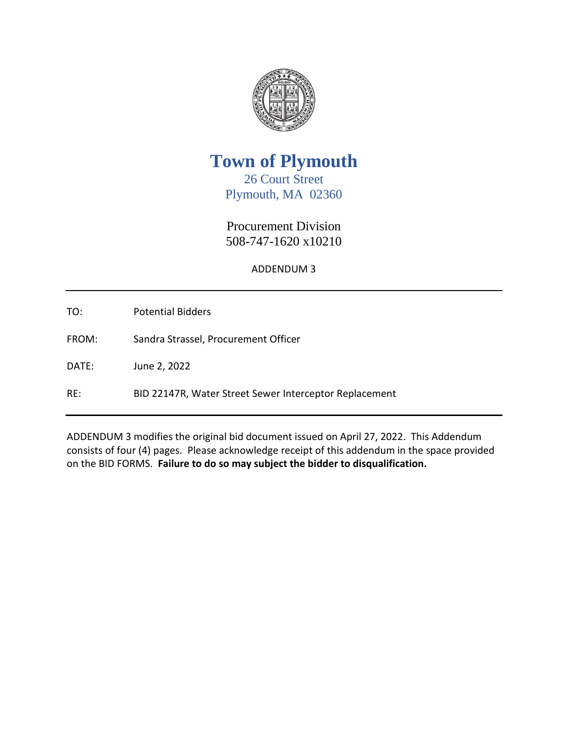

**Town of Plymouth**

26 Court Street Plymouth, MA 02360

Procurement Division 508-747-1620 x10210

ADDENDUM 3

TO: Potential Bidders

FROM: Sandra Strassel, Procurement Officer

DATE: June 2, 2022

RE: BID 22147R, Water Street Sewer Interceptor Replacement

ADDENDUM 3 modifies the original bid document issued on April 27, 2022. This Addendum consists of four (4) pages. Please acknowledge receipt of this addendum in the space provided on the BID FORMS. **Failure to do so may subject the bidder to disqualification.**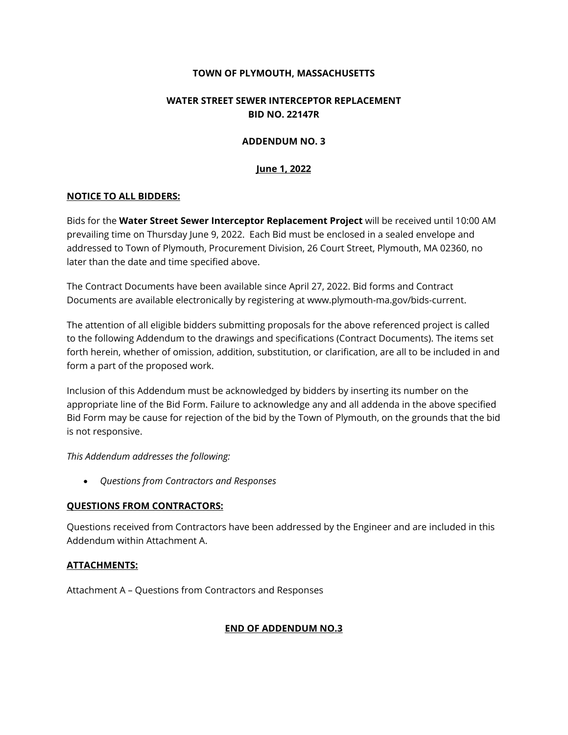## **TOWN OF PLYMOUTH, MASSACHUSETTS**

# **WATER STREET SEWER INTERCEPTOR REPLACEMENT BID NO. 22147R**

#### **ADDENDUM NO. 3**

## **June 1, 2022**

## **NOTICE TO ALL BIDDERS:**

Bids for the **Water Street Sewer Interceptor Replacement Project** will be received until 10:00 AM prevailing time on Thursday June 9, 2022. Each Bid must be enclosed in a sealed envelope and addressed to Town of Plymouth, Procurement Division, 26 Court Street, Plymouth, MA 02360, no later than the date and time specified above.

The Contract Documents have been available since April 27, 2022. Bid forms and Contract Documents are available electronically by registering at www.plymouth-ma.gov/bids-current.

The attention of all eligible bidders submitting proposals for the above referenced project is called to the following Addendum to the drawings and specifications (Contract Documents). The items set forth herein, whether of omission, addition, substitution, or clarification, are all to be included in and form a part of the proposed work.

Inclusion of this Addendum must be acknowledged by bidders by inserting its number on the appropriate line of the Bid Form. Failure to acknowledge any and all addenda in the above specified Bid Form may be cause for rejection of the bid by the Town of Plymouth, on the grounds that the bid is not responsive.

*This Addendum addresses the following:*

• *Questions from Contractors and Responses*

# **QUESTIONS FROM CONTRACTORS:**

Questions received from Contractors have been addressed by the Engineer and are included in this Addendum within Attachment A.

# **ATTACHMENTS:**

Attachment A – Questions from Contractors and Responses

# **END OF ADDENDUM NO.3**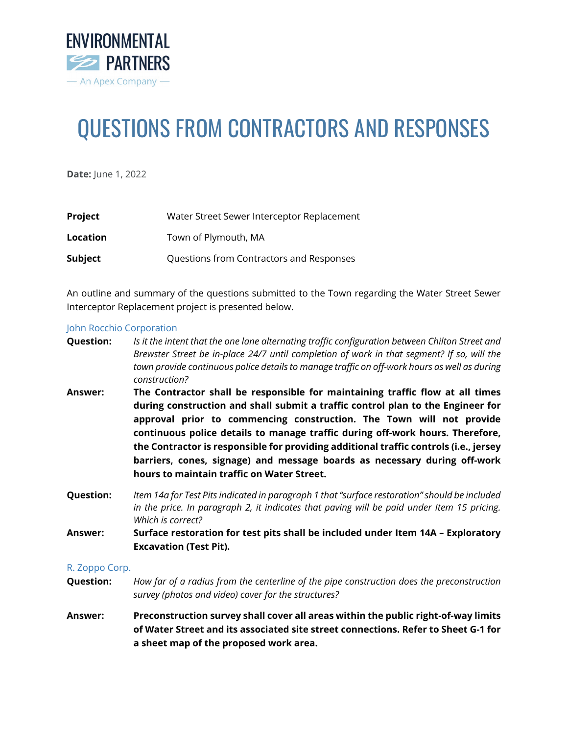

# QUESTIONS FROM CONTRACTORS AND RESPONSES

**Date:** June 1, 2022

| Project  | Water Street Sewer Interceptor Replacement |
|----------|--------------------------------------------|
| Location | Town of Plymouth, MA                       |
| Subject  | Questions from Contractors and Responses   |

An outline and summary of the questions submitted to the Town regarding the Water Street Sewer Interceptor Replacement project is presented below.

#### John Rocchio Corporation

- **Question:** *Is it the intent that the one lane alternating traffic configuration between Chilton Street and Brewster Street be in-place 24/7 until completion of work in that segment? If so, will the town provide continuous police details to manage traffic on off-work hours as well as during construction?*
- **Answer: The Contractor shall be responsible for maintaining traffic flow at all times during construction and shall submit a traffic control plan to the Engineer for approval prior to commencing construction. The Town will not provide continuous police details to manage traffic during off-work hours. Therefore, the Contractor is responsible for providing additional traffic controls (i.e., jersey barriers, cones, signage) and message boards as necessary during off-work hours to maintain traffic on Water Street.**
- **Question:** *Item 14a for Test Pits indicated in paragraph 1 that "surface restoration" should be included in the price. In paragraph 2, it indicates that paving will be paid under Item 15 pricing. Which is correct?*
- **Answer: Surface restoration for test pits shall be included under Item 14A – Exploratory Excavation (Test Pit).**

#### R. Zoppo Corp.

- **Question:** *How far of a radius from the centerline of the pipe construction does the preconstruction survey (photos and video) cover for the structures?*
- **Answer: Preconstruction survey shall cover all areas within the public right-of-way limits of Water Street and its associated site street connections. Refer to Sheet G-1 for a sheet map of the proposed work area.**